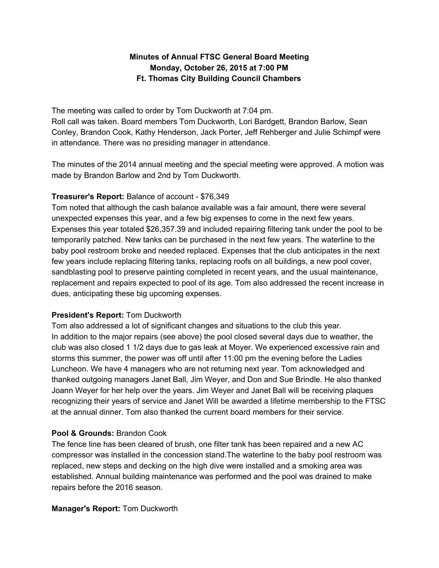# **Minutes of Annual FTSC General Board Meeting Monday, October 26, 2015 at 7:00 PM Ft. Thomas City Building Council Chambers**

The meeting was called to order by Tom Duckworth at 7:04 pm. Roll call was taken. Board members Tom Duckworth, Lori Bardgett, Brandon Barlow, Sean Conley, Brandon Cook, Kathy Henderson, Jack Porter, Jeff Rehberger and Julie Schimpf were in attendance. There was no presiding manager in attendance.

The minutes of the 2014 annual meeting and the special meeting were approved. A motion was made by Brandon Barlow and 2nd by Tom Duckworth.

### **Treasurer's Report:** Balance of account - \$76,349

Tom noted that although the cash balance available was a fair amount, there were several unexpected expenses this year, and a few big expenses to come in the next few years. Expenses this year totaled \$26,357.39 and included repairing filtering tank under the pool to be temporarily patched. New tanks can be purchased in the next few years. The waterline to the baby pool restroom broke and needed replaced. Expenses that the club anticipates in the next few years include replacing filtering tanks, replacing roofs on all buildings, a new pool cover, sandblasting pool to preserve painting completed in recent years, and the usual maintenance, replacement and repairs expected to pool of its age. Tom also addressed the recent increase in dues, anticipating these big upcoming expenses.

## **President's Report:** Tom Duckworth

Tom also addressed a lot of significant changes and situations to the club this year. In addition to the major repairs (see above) the pool closed several days due to weather, the club was also closed 1 1/2 days due to gas leak at Moyer. We experienced excessive rain and storms this summer, the power was off until after 11:00 pm the evening before the Ladies Luncheon. We have 4 managers who are not returning next year. Tom acknowledged and thanked outgoing managers Janet Ball, Jim Weyer, and Don and Sue Brindle. He also thanked Joann Weyer for her help over the years. Jim Weyer and Janet Ball will be receiving plaques recognizing their years of service and Janet Will be awarded a lifetime membership to the FTSC at the annual dinner. Tom also thanked the current board members for their service.

## **Pool & Grounds:** Brandon Cook

The fence line has been cleared of brush, one filter tank has been repaired and a new AC compressor was installed in the concession stand.The waterline to the baby pool restroom was replaced, new steps and decking on the high dive were installed and a smoking area was established. Annual building maintenance was performed and the pool was drained to make repairs before the 2016 season.

### **Manager's Report:** Tom Duckworth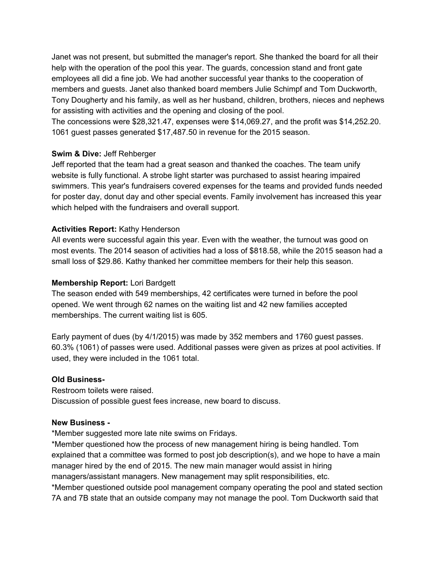Janet was not present, but submitted the manager's report. She thanked the board for all their help with the operation of the pool this year. The guards, concession stand and front gate employees all did a fine job. We had another successful year thanks to the cooperation of members and guests. Janet also thanked board members Julie Schimpf and Tom Duckworth, Tony Dougherty and his family, as well as her husband, children, brothers, nieces and nephews for assisting with activities and the opening and closing of the pool.

The concessions were \$28,321.47, expenses were \$14,069.27, and the profit was \$14,252.20. 1061 guest passes generated \$17,487.50 in revenue for the 2015 season.

### **Swim & Dive:** Jeff Rehberger

Jeff reported that the team had a great season and thanked the coaches. The team unify website is fully functional. A strobe light starter was purchased to assist hearing impaired swimmers. This year's fundraisers covered expenses for the teams and provided funds needed for poster day, donut day and other special events. Family involvement has increased this year which helped with the fundraisers and overall support.

#### **Activities Report:** Kathy Henderson

All events were successful again this year. Even with the weather, the turnout was good on most events. The 2014 season of activities had a loss of \$818.58, while the 2015 season had a small loss of \$29.86. Kathy thanked her committee members for their help this season.

#### **Membership Report:** Lori Bardgett

The season ended with 549 memberships, 42 certificates were turned in before the pool opened. We went through 62 names on the waiting list and 42 new families accepted memberships. The current waiting list is 605.

Early payment of dues (by 4/1/2015) was made by 352 members and 1760 guest passes. 60.3% (1061) of passes were used. Additional passes were given as prizes at pool activities. If used, they were included in the 1061 total.

#### **Old Business-**

Restroom toilets were raised. Discussion of possible guest fees increase, new board to discuss.

#### **New Business -**

\*Member suggested more late nite swims on Fridays.

\*Member questioned how the process of new management hiring is being handled. Tom explained that a committee was formed to post job description(s), and we hope to have a main manager hired by the end of 2015. The new main manager would assist in hiring managers/assistant managers. New management may split responsibilities, etc.

\*Member questioned outside pool management company operating the pool and stated section 7A and 7B state that an outside company may not manage the pool. Tom Duckworth said that